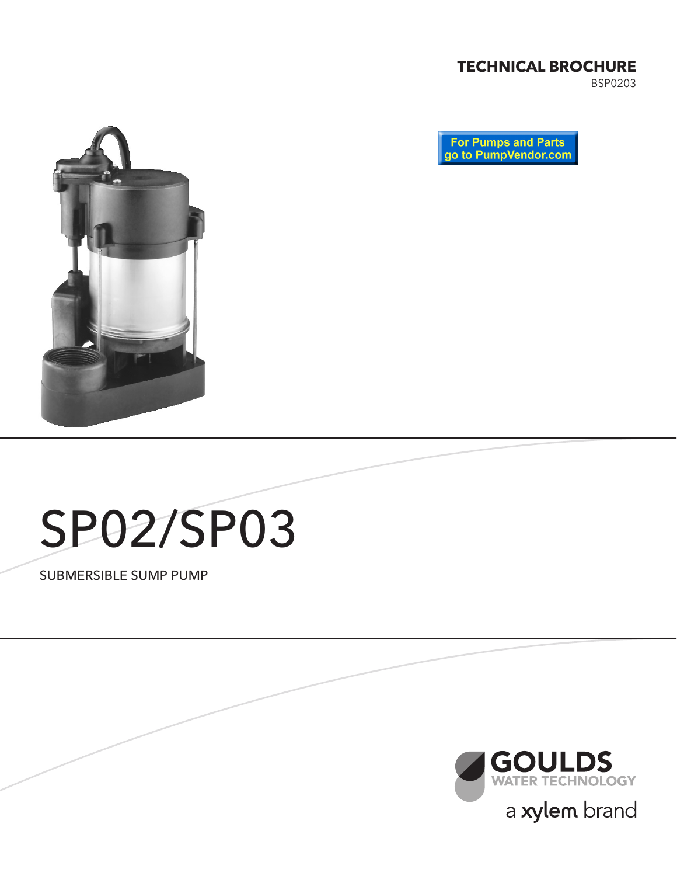## **TECHNICAL BROCHURE**

BSP0203





# SP02/SP03

SUBMERSIBLE SUMP PUMP

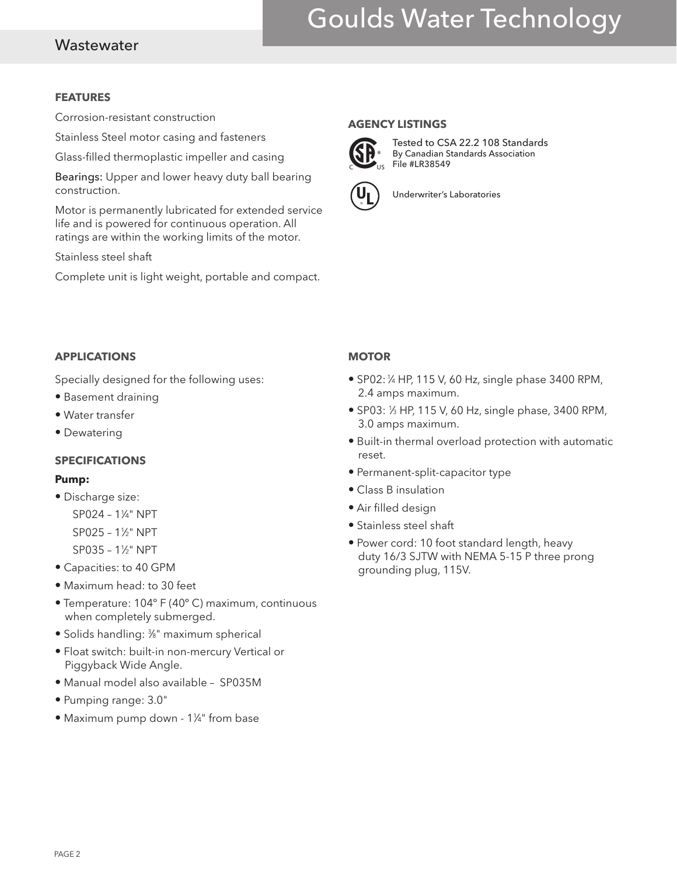# Goulds Water Technology

### **Wastewater**

#### **FEATURES**

Corrosion-resistant construction

Stainless Steel motor casing and fasteners

Glass-filled thermoplastic impeller and casing

Bearings: Upper and lower heavy duty ball bearing construction.

Motor is permanently lubricated for extended service life and is powered for continuous operation. All ratings are within the working limits of the motor.

Stainless steel shaft

Complete unit is light weight, portable and compact.

#### **AGENCY LISTINGS**



Tested to CSA 22.2 108 Standards By Canadian Standards Association File #LR38549



Underwriter's Laboratories

#### **APPLICATIONS**

Specially designed for the following uses:

- Basement draining
- Water transfer
- Dewatering

#### **SPECIFICATIONS**

#### **Pump:**

- Discharge size: SP024 – 11 ⁄4" NPT SP025 – 11 ⁄2" NPT SP035 – 11 ⁄2" NPT
- Capacities: to 40 GPM
- Maximum head: to 30 feet
- Temperature: 104º F (40º C) maximum, continuous when completely submerged.
- Solids handling: 3 ⁄8" maximum spherical
- Float switch: built-in non-mercury Vertical or Piggyback Wide Angle.
- Manual model also available SP035M
- Pumping range: 3.0"
- Maximum pump down 1¼" from base

#### **MOTOR**

- $\bullet$  SP02:  $\frac{1}{4}$  HP, 115 V, 60 Hz, single phase 3400 RPM, 2.4 amps maximum.
- SP03: 1/3 HP, 115 V, 60 Hz, single phase, 3400 RPM, 3.0 amps maximum.
- Built-in thermal overload protection with automatic reset.
- Permanent-split-capacitor type
- Class B insulation
- Air filled design
- Stainless steel shaft
- Power cord: 10 foot standard length, heavy duty 16/3 SJTW with NEMA 5-15 P three prong grounding plug, 115V.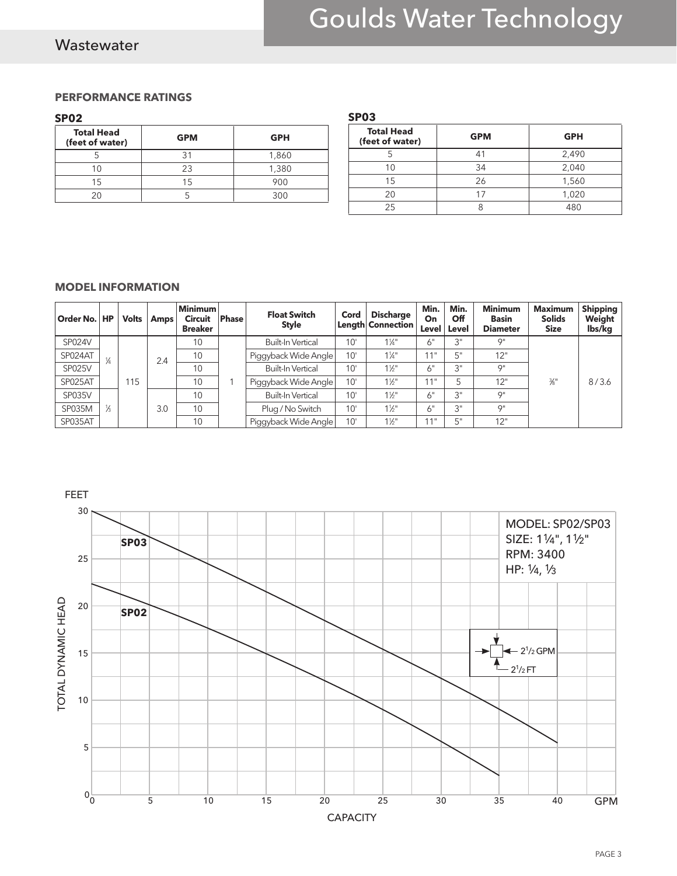# Goulds Water Technology

## **Wastewater**

#### **PERFORMANCE RATINGS**

#### **SP02**

| <b>Total Head</b><br>(feet of water) | <b>GPM</b> | <b>GPH</b> |
|--------------------------------------|------------|------------|
|                                      | 31         | 1,860      |
| 1 ( )                                | 23         | 1,380      |
| 15                                   | 15         | 900        |
| つの                                   |            | 300        |

| <b>Total Head</b><br>(feet of water) | <b>GPM</b> | <b>GPH</b> |  |  |  |
|--------------------------------------|------------|------------|--|--|--|
|                                      |            | 2,490      |  |  |  |
| 1 Ր                                  | 34         | 2,040      |  |  |  |
| 15                                   | 26         | 1,560      |  |  |  |
| 20                                   |            | 1,020      |  |  |  |
| 25                                   |            | 480        |  |  |  |

#### **MODEL INFORMATION**

| Order No. HP  |               | <b>Volts</b> | Amps | <b>Minimum</b><br><b>Circuit</b><br><b>Breaker</b> | <b>Phase</b>             | <b>Float Switch</b><br><b>Style</b> | Cord             | <b>Discharge</b><br>Length Connection | Min.<br>On<br>Level | Min.<br>Off<br>Level | <b>Minimum</b><br><b>Basin</b><br><b>Diameter</b> | <b>Maximum</b><br><b>Solids</b><br><b>Size</b> | <b>Shipping</b><br>Weight<br>lbs/kg |
|---------------|---------------|--------------|------|----------------------------------------------------|--------------------------|-------------------------------------|------------------|---------------------------------------|---------------------|----------------------|---------------------------------------------------|------------------------------------------------|-------------------------------------|
| <b>SP024V</b> |               |              | 2.4  | 10                                                 |                          | <b>Built-In Vertical</b>            | 10'              | $1\frac{1}{4}$ "                      | 6"                  | 3"                   | O <sub>II</sub>                                   | $\frac{3}{8}$ "                                | 8/3.6                               |
| SP024AT       | ¼             |              |      | 10                                                 |                          | Piggyback Wide Angle                | 10'              | $1\frac{1}{4}$ "                      | 11"                 | 5"                   | 12"                                               |                                                |                                     |
| <b>SP025V</b> |               |              |      | 10                                                 |                          | Built-In Vertical                   | 10'              | $1\frac{1}{2}$                        | 6"                  | ייכ                  | O <sub>II</sub>                                   |                                                |                                     |
| SP025AT       |               | 115          |      | 10                                                 |                          | Piggyback Wide Angle                | 10'              | $1\frac{1}{2}$ "                      | 11"                 |                      | 12"                                               |                                                |                                     |
| <b>SP035V</b> |               |              | 3.0  | 10                                                 | <b>Built-In Vertical</b> | 10'                                 | $1\frac{1}{2}$ " | 6"                                    | $2^{\rm H}$         | O <sub>II</sub>      |                                                   |                                                |                                     |
| <b>SP035M</b> | $\frac{1}{3}$ |              |      | 10                                                 |                          | Plug / No Switch                    | $10^{\circ}$     | $1\frac{1}{2}$ "                      | 6"                  | 3"                   | O <sub>II</sub>                                   |                                                |                                     |
| SP035AT       |               |              |      | 10                                                 |                          | Piggyback Wide Angle                | 10'              | $1\frac{1}{2}$ "                      | 11"                 | Γ"                   | 12"                                               |                                                |                                     |

**SP03**